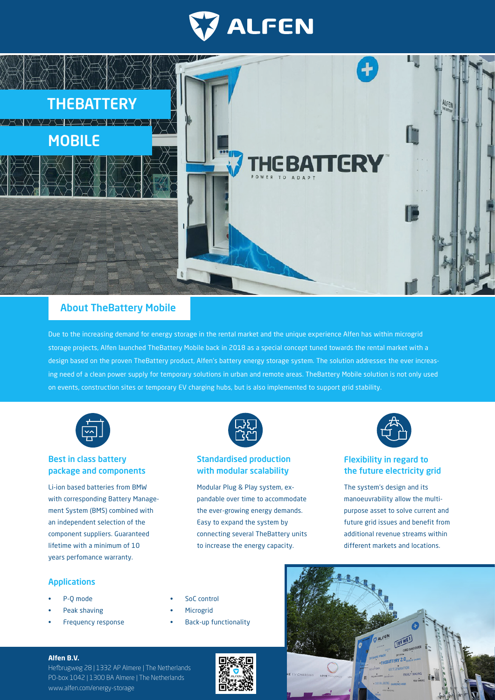



# About TheBattery Mobile

Due to the increasing demand for energy storage in the rental market and the unique experience Alfen has within microgrid storage projects, Alfen launched TheBattery Mobile back in 2018 as a special concept tuned towards the rental market with a design based on the proven TheBattery product, Alfen's battery energy storage system. The solution addresses the ever increasing need of a clean power supply for temporary solutions in urban and remote areas. TheBattery Mobile solution is not only used on events, construction sites or temporary EV charging hubs, but is also implemented to support grid stability.



# Best in class battery package and components

Li-ion based batteries from BMW with corresponding Battery Management System (BMS) combined with an independent selection of the component suppliers. Guaranteed lifetime with a minimum of 10 years perfomance warranty.



# Standardised production with modular scalability

Modular Plug & Play system, expandable over time to accommodate the ever-growing energy demands. Easy to expand the system by connecting several TheBattery units to increase the energy capacity.



# Flexibility in regard to the future electricity grid

The system's design and its manoeuvrability allow the multipurpose asset to solve current and future grid issues and benefit from additional revenue streams within different markets and locations.

## Applications

- P-Q mode
- Peak shaving
- Frequency response
- SoC control
- **Microgrid**
- Back-up functionality





### **Alfen B.V.**

Hefbrugweg 28 | 1332 AP Almere | The Netherlands PO-box 1042 | 1300 BA Almere | The Netherlands www.alfen.com/energy-storage